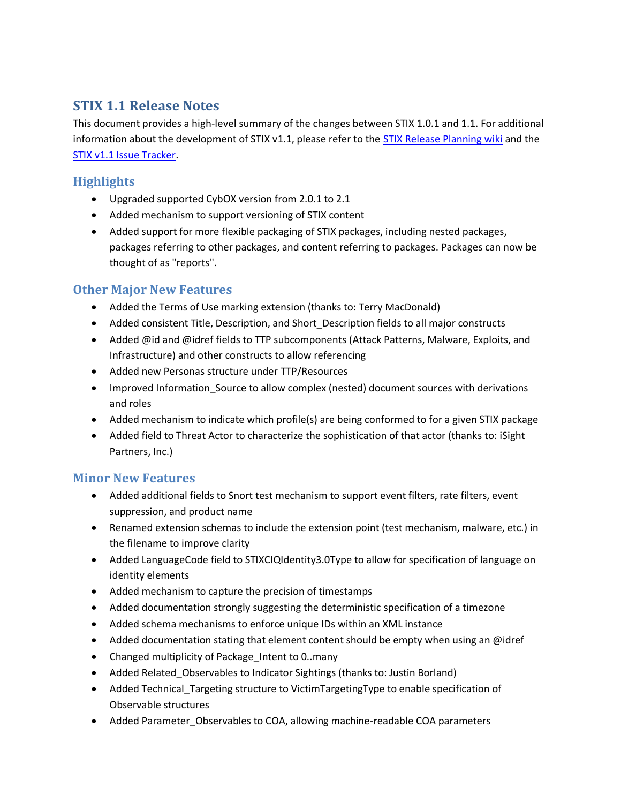# **STIX 1.1 Release Notes**

This document provides a high-level summary of the changes between STIX 1.0.1 and 1.1. For additional information about the development of STIX v1.1, please refer to the [STIX Release Planning wiki](https://github.com/STIXProject/schemas/wiki/STIX-1.1-Release-Planning) and the [STIX v1.1 Issue Tracker.](https://github.com/STIXProject/schemas/issues?direction=desc&milestone=1&page=1&sort=updated&state=closed)

### **Highlights**

- Upgraded supported CybOX version from 2.0.1 to 2.1
- Added mechanism to support versioning of STIX content
- Added support for more flexible packaging of STIX packages, including nested packages, packages referring to other packages, and content referring to packages. Packages can now be thought of as "reports".

## **Other Major New Features**

- Added the Terms of Use marking extension (thanks to: Terry MacDonald)
- Added consistent Title, Description, and Short\_Description fields to all major constructs
- Added @id and @idref fields to TTP subcomponents (Attack Patterns, Malware, Exploits, and Infrastructure) and other constructs to allow referencing
- Added new Personas structure under TTP/Resources
- Improved Information\_Source to allow complex (nested) document sources with derivations and roles
- Added mechanism to indicate which profile(s) are being conformed to for a given STIX package
- Added field to Threat Actor to characterize the sophistication of that actor (thanks to: iSight Partners, Inc.)

# **Minor New Features**

- Added additional fields to Snort test mechanism to support event filters, rate filters, event suppression, and product name
- Renamed extension schemas to include the extension point (test mechanism, malware, etc.) in the filename to improve clarity
- Added LanguageCode field to STIXCIQIdentity3.0Type to allow for specification of language on identity elements
- Added mechanism to capture the precision of timestamps
- Added documentation strongly suggesting the deterministic specification of a timezone
- Added schema mechanisms to enforce unique IDs within an XML instance
- Added documentation stating that element content should be empty when using an @idref
- Changed multiplicity of Package\_Intent to 0..many
- Added Related\_Observables to Indicator Sightings (thanks to: Justin Borland)
- Added Technical\_Targeting structure to VictimTargetingType to enable specification of Observable structures
- Added Parameter\_Observables to COA, allowing machine-readable COA parameters